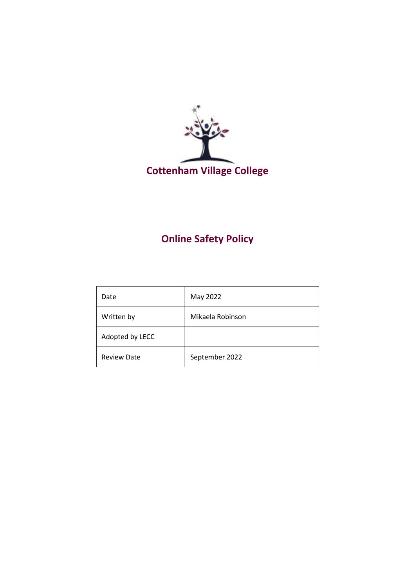

# **Online Safety Policy**

| Date               | May 2022         |
|--------------------|------------------|
| Written by         | Mikaela Robinson |
| Adopted by LECC    |                  |
| <b>Review Date</b> | September 2022   |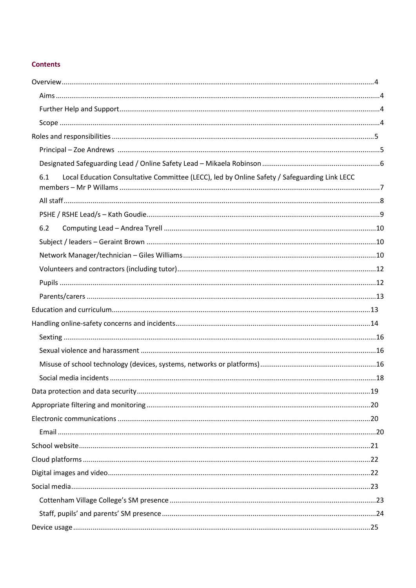# **Contents**

| Local Education Consultative Committee (LECC), led by Online Safety / Safeguarding Link LECC<br>6.1 |  |
|-----------------------------------------------------------------------------------------------------|--|
|                                                                                                     |  |
|                                                                                                     |  |
| 6.2                                                                                                 |  |
|                                                                                                     |  |
|                                                                                                     |  |
|                                                                                                     |  |
|                                                                                                     |  |
|                                                                                                     |  |
|                                                                                                     |  |
|                                                                                                     |  |
|                                                                                                     |  |
|                                                                                                     |  |
|                                                                                                     |  |
|                                                                                                     |  |
|                                                                                                     |  |
|                                                                                                     |  |
|                                                                                                     |  |
|                                                                                                     |  |
|                                                                                                     |  |
|                                                                                                     |  |
|                                                                                                     |  |
|                                                                                                     |  |
|                                                                                                     |  |
|                                                                                                     |  |
|                                                                                                     |  |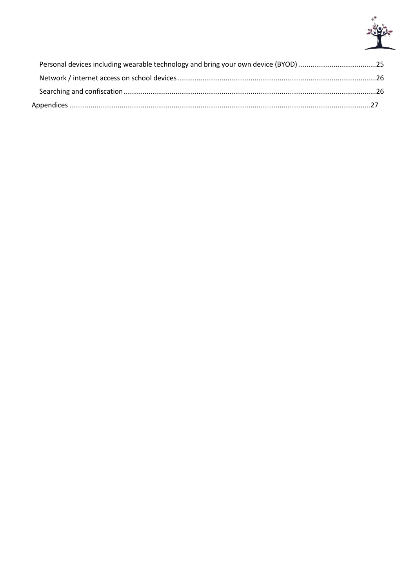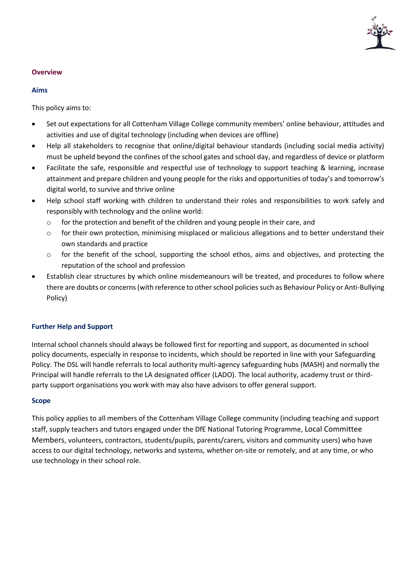

# <span id="page-3-0"></span>**Overview**

#### <span id="page-3-1"></span>**Aims**

This policy aims to:

- Set out expectations for all Cottenham Village College community members' online behaviour, attitudes and activities and use of digital technology (including when devices are offline)
- Help all stakeholders to recognise that online/digital behaviour standards (including social media activity) must be upheld beyond the confines of the school gates and school day, and regardless of device or platform
- Facilitate the safe, responsible and respectful use of technology to support teaching & learning, increase attainment and prepare children and young people for the risks and opportunities of today's and tomorrow's digital world, to survive and thrive online
- Help school staff working with children to understand their roles and responsibilities to work safely and responsibly with technology and the online world:
	- $\circ$  for the protection and benefit of the children and young people in their care, and
	- $\circ$  for their own protection, minimising misplaced or malicious allegations and to better understand their own standards and practice
	- $\circ$  for the benefit of the school, supporting the school ethos, aims and objectives, and protecting the reputation of the school and profession
- Establish clear structures by which online misdemeanours will be treated, and procedures to follow where there are doubts or concerns (with reference to other school policies such as Behaviour Policy or Anti-Bullying Policy)

# <span id="page-3-2"></span>**Further Help and Support**

Internal school channels should always be followed first for reporting and support, as documented in school policy documents, especially in response to incidents, which should be reported in line with your Safeguarding Policy. The DSL will handle referrals to local authority multi-agency safeguarding hubs (MASH) and normally the Principal will handle referrals to the LA designated officer (LADO). The local authority, academy trust or thirdparty support organisations you work with may also have advisors to offer general support.

#### <span id="page-3-3"></span>**Scope**

This policy applies to all members of the Cottenham Village College community (including teaching and support staff, supply teachers and tutors engaged under the DfE National Tutoring Programme, Local Committee Members, volunteers, contractors, students/pupils, parents/carers, visitors and community users) who have access to our digital technology, networks and systems, whether on-site or remotely, and at any time, or who use technology in their school role.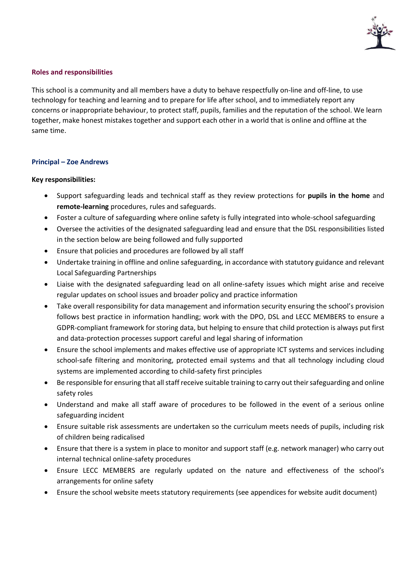

## <span id="page-4-0"></span>**Roles and responsibilities**

This school is a community and all members have a duty to behave respectfully on-line and off-line, to use technology for teaching and learning and to prepare for life after school, and to immediately report any concerns or inappropriate behaviour, to protect staff, pupils, families and the reputation of the school. We learn together, make honest mistakes together and support each other in a world that is online and offline at the same time.

#### <span id="page-4-1"></span>**Principal – Zoe Andrews**

- Support safeguarding leads and technical staff as they review protections for **pupils in the home** and **remote-learning** procedures, rules and safeguards.
- Foster a culture of safeguarding where online safety is fully integrated into whole-school safeguarding
- Oversee the activities of the designated safeguarding lead and ensure that the DSL responsibilities listed in the section below are being followed and fully supported
- Ensure that policies and procedures are followed by all staff
- Undertake training in offline and online safeguarding, in accordance with statutory guidance and relevant Local Safeguarding Partnerships
- Liaise with the designated safeguarding lead on all online-safety issues which might arise and receive regular updates on school issues and broader policy and practice information
- Take overall responsibility for data management and information security ensuring the school's provision follows best practice in information handling; work with the DPO, DSL and LECC MEMBERS to ensure a GDPR-compliant framework for storing data, but helping to ensure that child protection is always put first and data-protection processes support careful and legal sharing of information
- Ensure the school implements and makes effective use of appropriate ICT systems and services including school-safe filtering and monitoring, protected email systems and that all technology including cloud systems are implemented according to child-safety first principles
- Be responsible for ensuring that all staff receive suitable training to carry out their safeguarding and online safety roles
- Understand and make all staff aware of procedures to be followed in the event of a serious online safeguarding incident
- Ensure suitable risk assessments are undertaken so the curriculum meets needs of pupils, including risk of children being radicalised
- Ensure that there is a system in place to monitor and support staff (e.g. network manager) who carry out internal technical online-safety procedures
- Ensure LECC MEMBERS are regularly updated on the nature and effectiveness of the school's arrangements for online safety
- Ensure the school website meets statutory requirements (see appendices for website audit document)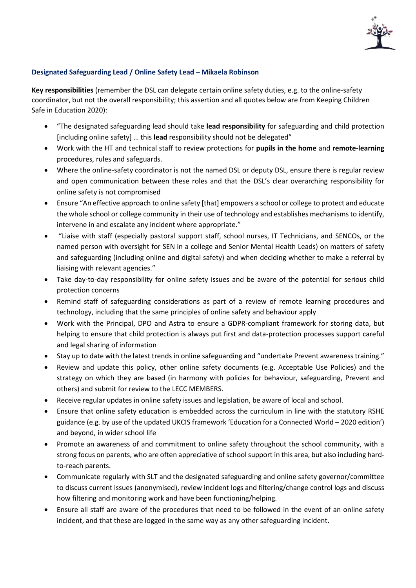

# <span id="page-5-0"></span>**Designated Safeguarding Lead / Online Safety Lead – Mikaela Robinson**

**Key responsibilities** (remember the DSL can delegate certain online safety duties, e.g. to the online-safety coordinator, but not the overall responsibility; this assertion and all quotes below are from Keeping Children Safe in Education 2020):

- "The designated safeguarding lead should take **lead responsibility** for safeguarding and child protection [including online safety] … this **lead** responsibility should not be delegated"
- Work with the HT and technical staff to review protections for **pupils in the home** and **remote-learning** procedures, rules and safeguards.
- Where the online-safety coordinator is not the named DSL or deputy DSL, ensure there is regular review and open communication between these roles and that the DSL's clear overarching responsibility for online safety is not compromised
- Ensure "An effective approach to online safety [that] empowers a school or college to protect and educate the whole school or college community in their use of technology and establishes mechanisms to identify, intervene in and escalate any incident where appropriate."
- "Liaise with staff (especially pastoral support staff, school nurses, IT Technicians, and SENCOs, or the named person with oversight for SEN in a college and Senior Mental Health Leads) on matters of safety and safeguarding (including online and digital safety) and when deciding whether to make a referral by liaising with relevant agencies."
- Take day-to-day responsibility for online safety issues and be aware of the potential for serious child protection concerns
- Remind staff of safeguarding considerations as part of a review of remote learning procedures and technology, including that the same principles of online safety and behaviour apply
- Work with the Principal, DPO and Astra to ensure a GDPR-compliant framework for storing data, but helping to ensure that child protection is always put first and data-protection processes support careful and legal sharing of information
- Stay up to date with the latest trends in online safeguarding and "undertake Prevent awareness training."
- Review and update this policy, other online safety documents (e.g. Acceptable Use Policies) and the strategy on which they are based (in harmony with policies for behaviour, safeguarding, Prevent and others) and submit for review to the LECC MEMBERS.
- Receive regular updates in online safety issues and legislation, be aware of local and school.
- Ensure that online safety education is embedded across the curriculum in line with the statutory RSHE guidance (e.g. by use of the updated UKCIS framework 'Education for a Connected World – 2020 edition') and beyond, in wider school life
- Promote an awareness of and commitment to online safety throughout the school community, with a strong focus on parents, who are often appreciative of school support in this area, but also including hardto-reach parents.
- Communicate regularly with SLT and the designated safeguarding and online safety governor/committee to discuss current issues (anonymised), review incident logs and filtering/change control logs and discuss how filtering and monitoring work and have been functioning/helping.
- Ensure all staff are aware of the procedures that need to be followed in the event of an online safety incident, and that these are logged in the same way as any other safeguarding incident.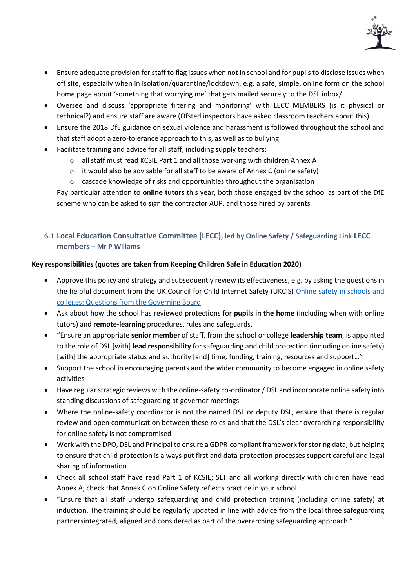

- Ensure adequate provision for staff to flag issues when not in school and for pupils to disclose issues when off site, especially when in isolation/quarantine/lockdown, e.g. a safe, simple, online form on the school home page about 'something that worrying me' that gets mailed securely to the DSL inbox/
- Oversee and discuss 'appropriate filtering and monitoring' with LECC MEMBERS (is it physical or technical?) and ensure staff are aware (Ofsted inspectors have asked classroom teachers about this).
- Ensure the 2018 DfE guidance on sexual violence and harassment is followed throughout the school and that staff adopt a zero-tolerance approach to this, as well as to bullying
- Facilitate training and advice for all staff, including supply teachers:
	- o all staff must read KCSIE Part 1 and all those working with children Annex A
	- o it would also be advisable for all staff to be aware of Annex C (online safety)
	- $\circ$  cascade knowledge of risks and opportunities throughout the organisation

Pay particular attention to **online tutors** this year, both those engaged by the school as part of the DfE scheme who can be asked to sign the contractor AUP, and those hired by parents.

# <span id="page-6-0"></span>**6.1 Local Education Consultative Committee (LECC), led by Online Safety / Safeguarding Link LECC members – Mr P Willams**

# **Key responsibilities (quotes are taken from Keeping Children Safe in Education 2020)**

- Approve this policy and strategy and subsequently review its effectiveness, e.g. by asking the questions in the helpful document from the UK Council for Child Internet Safety (UKCIS) [Online safety in schools and](https://assets.publishing.service.gov.uk/government/uploads/system/uploads/attachment_data/file/562876/Guidance_for_School_Governors_-_Question_list.pdf)  [colleges: Questions from the Governing Board](https://assets.publishing.service.gov.uk/government/uploads/system/uploads/attachment_data/file/562876/Guidance_for_School_Governors_-_Question_list.pdf)
- Ask about how the school has reviewed protections for **pupils in the home** (including when with online tutors) and **remote-learning** procedures, rules and safeguards.
- "Ensure an appropriate **senior member** of staff, from the school or college **leadership team**, is appointed to the role of DSL [with] **lead responsibility** for safeguarding and child protection (including online safety) [with] the appropriate status and authority [and] time, funding, training, resources and support..."
- Support the school in encouraging parents and the wider community to become engaged in online safety activities
- Have regular strategic reviews with the online-safety co-ordinator / DSL and incorporate online safety into standing discussions of safeguarding at governor meetings
- Where the online-safety coordinator is not the named DSL or deputy DSL, ensure that there is regular review and open communication between these roles and that the DSL's clear overarching responsibility for online safety is not compromised
- Work with the DPO, DSL and Principal to ensure a GDPR-compliant framework for storing data, but helping to ensure that child protection is always put first and data-protection processes support careful and legal sharing of information
- Check all school staff have read Part 1 of KCSIE; SLT and all working directly with children have read Annex A; check that Annex C on Online Safety reflects practice in your school
- "Ensure that all staff undergo safeguarding and child protection training (including online safety) at induction. The training should be regularly updated in line with advice from the local three safeguarding partnersintegrated, aligned and considered as part of the overarching safeguarding approach."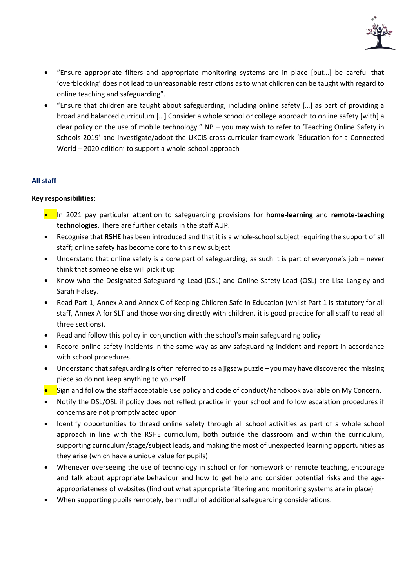

- "Ensure appropriate filters and appropriate monitoring systems are in place [but…] be careful that 'overblocking' does not lead to unreasonable restrictions as to what children can be taught with regard to online teaching and safeguarding".
- "Ensure that children are taught about safeguarding, including online safety […] as part of providing a broad and balanced curriculum […] Consider a whole school or college approach to online safety [with] a clear policy on the use of mobile technology." NB – you may wish to refer to 'Teaching Online Safety in Schools 2019' and investigate/adopt the UKCIS cross-curricular framework 'Education for a Connected World – 2020 edition' to support a whole-school approach

# <span id="page-7-0"></span>**All staff**

- In 2021 pay particular attention to safeguarding provisions for **home-learning** and **remote-teaching technologies**. There are further details in the staff AUP.
- Recognise that **RSHE** has been introduced and that it is a whole-school subject requiring the support of all staff; online safety has become core to this new subject
- Understand that online safety is a core part of safeguarding; as such it is part of everyone's job never think that someone else will pick it up
- Know who the Designated Safeguarding Lead (DSL) and Online Safety Lead (OSL) are Lisa Langley and Sarah Halsey.
- Read Part 1, Annex A and Annex C of Keeping Children Safe in Education (whilst Part 1 is statutory for all staff, Annex A for SLT and those working directly with children, it is good practice for all staff to read all three sections).
- Read and follow this policy in conjunction with the school's main safeguarding policy
- Record online-safety incidents in the same way as any safeguarding incident and report in accordance with school procedures.
- Understand that safeguarding is often referred to as a jigsaw puzzle you may have discovered the missing piece so do not keep anything to yourself
- Sign and follow the staff acceptable use policy and code of conduct/handbook available on My Concern.
- Notify the DSL/OSL if policy does not reflect practice in your school and follow escalation procedures if concerns are not promptly acted upon
- Identify opportunities to thread online safety through all school activities as part of a whole school approach in line with the RSHE curriculum, both outside the classroom and within the curriculum, supporting curriculum/stage/subject leads, and making the most of unexpected learning opportunities as they arise (which have a unique value for pupils)
- Whenever overseeing the use of technology in school or for homework or remote teaching, encourage and talk about appropriate behaviour and how to get help and consider potential risks and the ageappropriateness of websites (find out what appropriate filtering and monitoring systems are in place)
- When supporting pupils remotely, be mindful of additional safeguarding considerations.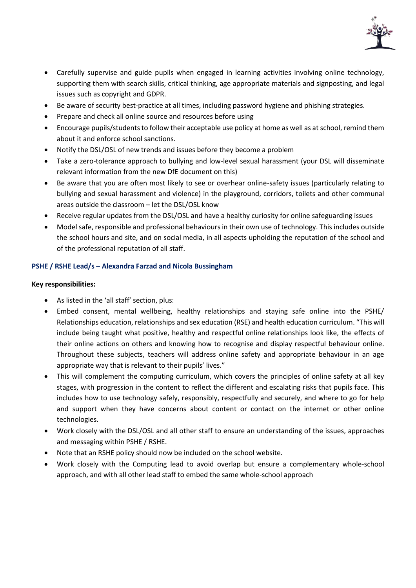

- Carefully supervise and guide pupils when engaged in learning activities involving online technology, supporting them with search skills, critical thinking, age appropriate materials and signposting, and legal issues such as copyright and GDPR.
- Be aware of security best-practice at all times, including password hygiene and phishing strategies.
- Prepare and check all online source and resources before using
- Encourage pupils/students to follow their acceptable use policy at home as well as at school, remind them about it and enforce school sanctions.
- Notify the DSL/OSL of new trends and issues before they become a problem
- Take a zero-tolerance approach to bullying and low-level sexual harassment (your DSL will disseminate relevant information from the new DfE document on this)
- Be aware that you are often most likely to see or overhear online-safety issues (particularly relating to bullying and sexual harassment and violence) in the playground, corridors, toilets and other communal areas outside the classroom – let the DSL/OSL know
- Receive regular updates from the DSL/OSL and have a healthy curiosity for online safeguarding issues
- Model safe, responsible and professional behaviours in their own use of technology. This includes outside the school hours and site, and on social media, in all aspects upholding the reputation of the school and of the professional reputation of all staff.

# <span id="page-8-0"></span>**PSHE / RSHE Lead/s – Alexandra Farzad and Nicola Bussingham**

- As listed in the 'all staff' section, plus:
- Embed consent, mental wellbeing, healthy relationships and staying safe online into the PSHE/ Relationships education, relationships and sex education (RSE) and health education curriculum. "This will include being taught what positive, healthy and respectful online relationships look like, the effects of their online actions on others and knowing how to recognise and display respectful behaviour online. Throughout these subjects, teachers will address online safety and appropriate behaviour in an age appropriate way that is relevant to their pupils' lives."
- This will complement the computing curriculum, which covers the principles of online safety at all key stages, with progression in the content to reflect the different and escalating risks that pupils face. This includes how to use technology safely, responsibly, respectfully and securely, and where to go for help and support when they have concerns about content or contact on the internet or other online technologies.
- Work closely with the DSL/OSL and all other staff to ensure an understanding of the issues, approaches and messaging within PSHE / RSHE.
- Note that an RSHE policy should now be included on the school website.
- Work closely with the Computing lead to avoid overlap but ensure a complementary whole-school approach, and with all other lead staff to embed the same whole-school approach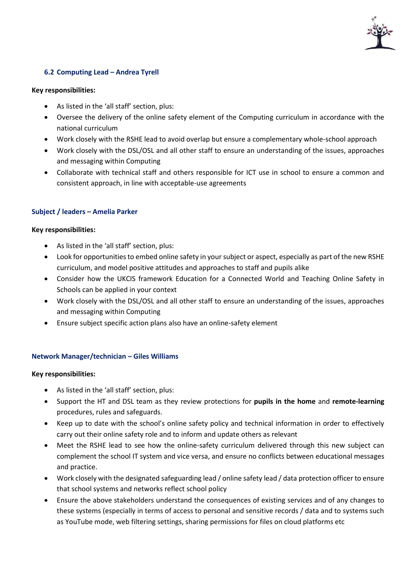

# <span id="page-9-0"></span>**6.2 Computing Lead – Andrea Tyrell**

#### **Key responsibilities:**

- As listed in the 'all staff' section, plus:
- Oversee the delivery of the online safety element of the Computing curriculum in accordance with the national curriculum
- Work closely with the RSHE lead to avoid overlap but ensure a complementary whole-school approach
- Work closely with the DSL/OSL and all other staff to ensure an understanding of the issues, approaches and messaging within Computing
- Collaborate with technical staff and others responsible for ICT use in school to ensure a common and consistent approach, in line with acceptable-use agreements

#### <span id="page-9-1"></span>**Subject / leaders – Amelia Parker**

#### **Key responsibilities:**

- As listed in the 'all staff' section, plus:
- Look for opportunities to embed online safety in your subject or aspect, especially as part of the new RSHE curriculum, and model positive attitudes and approaches to staff and pupils alike
- Consider how the UKCIS framework Education for a Connected World and Teaching Online Safety in Schools can be applied in your context
- Work closely with the DSL/OSL and all other staff to ensure an understanding of the issues, approaches and messaging within Computing
- Ensure subject specific action plans also have an online-safety element

#### <span id="page-9-2"></span>**Network Manager/technician – Giles Williams**

- As listed in the 'all staff' section, plus:
- Support the HT and DSL team as they review protections for **pupils in the home** and **remote-learning** procedures, rules and safeguards.
- Keep up to date with the school's online safety policy and technical information in order to effectively carry out their online safety role and to inform and update others as relevant
- Meet the RSHE lead to see how the online-safety curriculum delivered through this new subject can complement the school IT system and vice versa, and ensure no conflicts between educational messages and practice.
- Work closely with the designated safeguarding lead / online safety lead / data protection officer to ensure that school systems and networks reflect school policy
- Ensure the above stakeholders understand the consequences of existing services and of any changes to these systems (especially in terms of access to personal and sensitive records / data and to systems such as YouTube mode, web filtering settings, sharing permissions for files on cloud platforms etc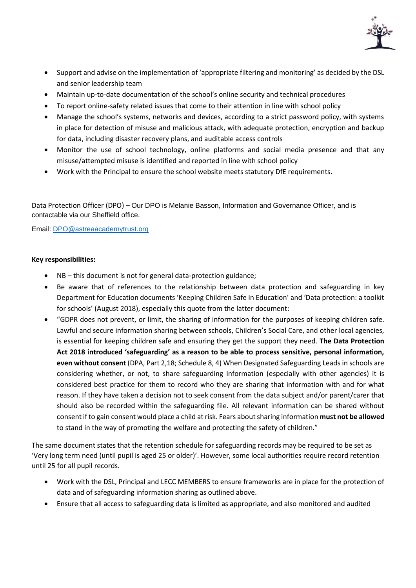

- Support and advise on the implementation of 'appropriate filtering and monitoring' as decided by the DSL and senior leadership team
- Maintain up-to-date documentation of the school's online security and technical procedures
- To report online-safety related issues that come to their attention in line with school policy
- Manage the school's systems, networks and devices, according to a strict password policy, with systems in place for detection of misuse and malicious attack, with adequate protection, encryption and backup for data, including disaster recovery plans, and auditable access controls
- Monitor the use of school technology, online platforms and social media presence and that any misuse/attempted misuse is identified and reported in line with school policy
- Work with the Principal to ensure the school website meets statutory DfE requirements.

Data Protection Officer (DPO) – Our DPO is Melanie Basson, Information and Governance Officer, and is contactable via our Sheffield office.

Email: [DPO@astreaacademytrust.org](mailto:DPO@astreaacademytrust.org)

#### **Key responsibilities:**

- NB this document is not for general data-protection guidance;
- Be aware that of references to the relationship between data protection and safeguarding in key Department for Education documents 'Keeping Children Safe in Education' and 'Data protection: a toolkit for schools' (August 2018), especially this quote from the latter document:
- "GDPR does not prevent, or limit, the sharing of information for the purposes of keeping children safe. Lawful and secure information sharing between schools, Children's Social Care, and other local agencies, is essential for keeping children safe and ensuring they get the support they need. **The Data Protection Act 2018 introduced 'safeguarding' as a reason to be able to process sensitive, personal information, even without consent** (DPA, Part 2,18; Schedule 8, 4) When Designated Safeguarding Leads in schools are considering whether, or not, to share safeguarding information (especially with other agencies) it is considered best practice for them to record who they are sharing that information with and for what reason. If they have taken a decision not to seek consent from the data subject and/or parent/carer that should also be recorded within the safeguarding file. All relevant information can be shared without consent if to gain consent would place a child at risk. Fears about sharing information **must not be allowed** to stand in the way of promoting the welfare and protecting the safety of children."

The same document states that the retention schedule for safeguarding records may be required to be set as 'Very long term need (until pupil is aged 25 or older)'. However, some local authorities require record retention until 25 for all pupil records.

- Work with the DSL, Principal and LECC MEMBERS to ensure frameworks are in place for the protection of data and of safeguarding information sharing as outlined above.
- Ensure that all access to safeguarding data is limited as appropriate, and also monitored and audited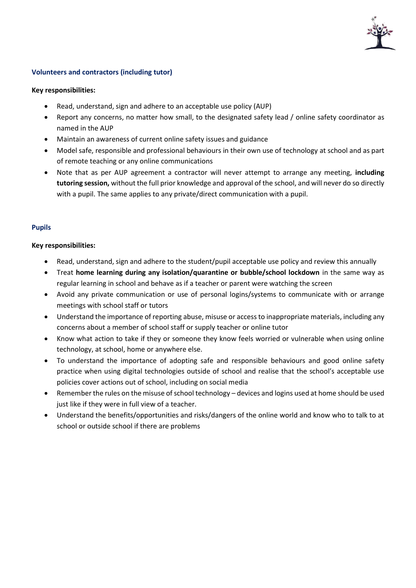

# <span id="page-11-0"></span>**Volunteers and contractors (including tutor)**

#### **Key responsibilities:**

- Read, understand, sign and adhere to an acceptable use policy (AUP)
- Report any concerns, no matter how small, to the designated safety lead / online safety coordinator as named in the AUP
- Maintain an awareness of current online safety issues and guidance
- Model safe, responsible and professional behaviours in their own use of technology at school and as part of remote teaching or any online communications
- Note that as per AUP agreement a contractor will never attempt to arrange any meeting, **including tutoring session,** without the full prior knowledge and approval of the school, and will never do so directly with a pupil. The same applies to any private/direct communication with a pupil.

# <span id="page-11-1"></span>**Pupils**

- Read, understand, sign and adhere to the student/pupil acceptable use policy and review this annually
- Treat **home learning during any isolation/quarantine or bubble/school lockdown** in the same way as regular learning in school and behave as if a teacher or parent were watching the screen
- Avoid any private communication or use of personal logins/systems to communicate with or arrange meetings with school staff or tutors
- Understand the importance of reporting abuse, misuse or access to inappropriate materials, including any concerns about a member of school staff or supply teacher or online tutor
- Know what action to take if they or someone they know feels worried or vulnerable when using online technology, at school, home or anywhere else.
- To understand the importance of adopting safe and responsible behaviours and good online safety practice when using digital technologies outside of school and realise that the school's acceptable use policies cover actions out of school, including on social media
- Remember the rules on the misuse of school technology devices and logins used at home should be used just like if they were in full view of a teacher.
- Understand the benefits/opportunities and risks/dangers of the online world and know who to talk to at school or outside school if there are problems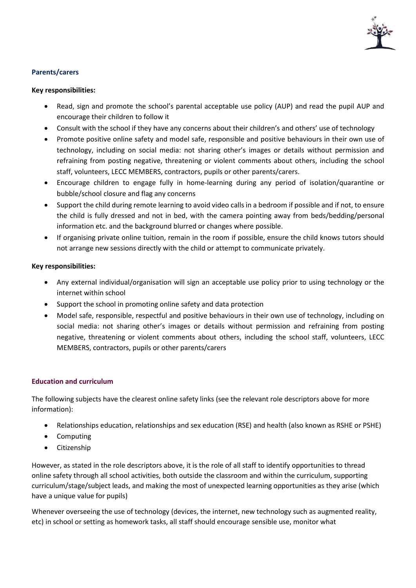

# <span id="page-12-0"></span>**Parents/carers**

## **Key responsibilities:**

- Read, sign and promote the school's parental acceptable use policy (AUP) and read the pupil AUP and encourage their children to follow it
- Consult with the school if they have any concerns about their children's and others' use of technology
- Promote positive online safety and model safe, responsible and positive behaviours in their own use of technology, including on social media: not sharing other's images or details without permission and refraining from posting negative, threatening or violent comments about others, including the school staff, volunteers, LECC MEMBERS, contractors, pupils or other parents/carers.
- Encourage children to engage fully in home-learning during any period of isolation/quarantine or bubble/school closure and flag any concerns
- Support the child during remote learning to avoid video calls in a bedroom if possible and if not, to ensure the child is fully dressed and not in bed, with the camera pointing away from beds/bedding/personal information etc. and the background blurred or changes where possible.
- If organising private online tuition, remain in the room if possible, ensure the child knows tutors should not arrange new sessions directly with the child or attempt to communicate privately.

# **Key responsibilities:**

- Any external individual/organisation will sign an acceptable use policy prior to using technology or the internet within school
- Support the school in promoting online safety and data protection
- Model safe, responsible, respectful and positive behaviours in their own use of technology, including on social media: not sharing other's images or details without permission and refraining from posting negative, threatening or violent comments about others, including the school staff, volunteers, LECC MEMBERS, contractors, pupils or other parents/carers

# <span id="page-12-1"></span>**Education and curriculum**

The following subjects have the clearest online safety links (see the relevant role descriptors above for more information):

- Relationships education, relationships and sex education (RSE) and health (also known as RSHE or PSHE)
- Computing
- Citizenship

However, as stated in the role descriptors above, it is the role of all staff to identify opportunities to thread online safety through all school activities, both outside the classroom and within the curriculum, supporting curriculum/stage/subject leads, and making the most of unexpected learning opportunities as they arise (which have a unique value for pupils)

Whenever overseeing the use of technology (devices, the internet, new technology such as augmented reality, etc) in school or setting as homework tasks, all staff should encourage sensible use, monitor what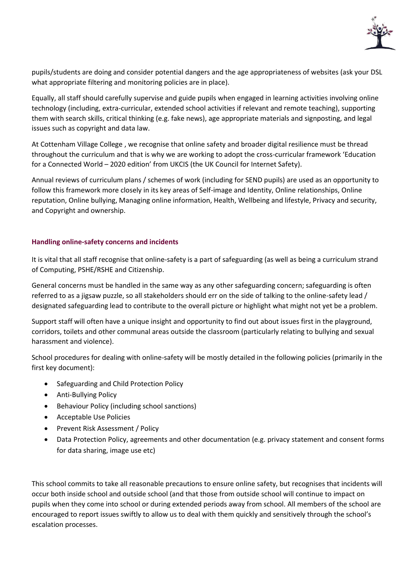

pupils/students are doing and consider potential dangers and the age appropriateness of websites (ask your DSL what appropriate filtering and monitoring policies are in place).

Equally, all staff should carefully supervise and guide pupils when engaged in learning activities involving online technology (including, extra-curricular, extended school activities if relevant and remote teaching), supporting them with search skills, critical thinking (e.g. fake news), age appropriate materials and signposting, and legal issues such as copyright and data law.

At Cottenham Village College , we recognise that online safety and broader digital resilience must be thread throughout the curriculum and that is why we are working to adopt the cross-curricular framework 'Education for a Connected World – 2020 edition' from UKCIS (the UK Council for Internet Safety).

Annual reviews of curriculum plans / schemes of work (including for SEND pupils) are used as an opportunity to follow this framework more closely in its key areas of Self-image and Identity, Online relationships, Online reputation, Online bullying, Managing online information, Health, Wellbeing and lifestyle, Privacy and security, and Copyright and ownership.

# <span id="page-13-0"></span>**Handling online-safety concerns and incidents**

It is vital that all staff recognise that online-safety is a part of safeguarding (as well as being a curriculum strand of Computing, PSHE/RSHE and Citizenship.

General concerns must be handled in the same way as any other safeguarding concern; safeguarding is often referred to as a jigsaw puzzle, so all stakeholders should err on the side of talking to the online-safety lead / designated safeguarding lead to contribute to the overall picture or highlight what might not yet be a problem.

Support staff will often have a unique insight and opportunity to find out about issues first in the playground, corridors, toilets and other communal areas outside the classroom (particularly relating to bullying and sexual harassment and violence).

School procedures for dealing with online-safety will be mostly detailed in the following policies (primarily in the first key document):

- Safeguarding and Child Protection Policy
- Anti-Bullying Policy
- Behaviour Policy (including school sanctions)
- Acceptable Use Policies
- Prevent Risk Assessment / Policy
- Data Protection Policy, agreements and other documentation (e.g. privacy statement and consent forms for data sharing, image use etc)

This school commits to take all reasonable precautions to ensure online safety, but recognises that incidents will occur both inside school and outside school (and that those from outside school will continue to impact on pupils when they come into school or during extended periods away from school. All members of the school are encouraged to report issues swiftly to allow us to deal with them quickly and sensitively through the school's escalation processes.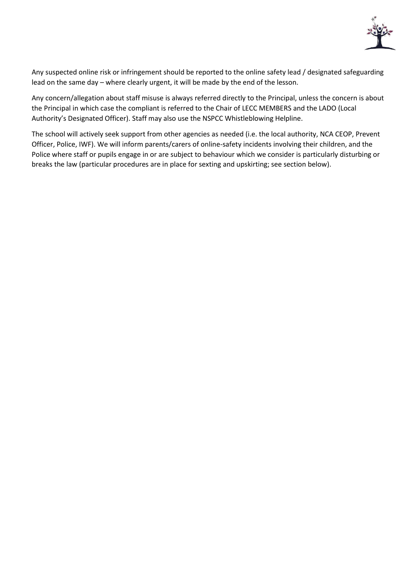

Any suspected online risk or infringement should be reported to the online safety lead / designated safeguarding lead on the same day – where clearly urgent, it will be made by the end of the lesson.

Any concern/allegation about staff misuse is always referred directly to the Principal, unless the concern is about the Principal in which case the compliant is referred to the Chair of LECC MEMBERS and the LADO (Local Authority's Designated Officer). Staff may also use the NSPCC Whistleblowing Helpline.

The school will actively seek support from other agencies as needed (i.e. the local authority, NCA CEOP, Prevent Officer, Police, IWF). We will inform parents/carers of online-safety incidents involving their children, and the Police where staff or pupils engage in or are subject to behaviour which we consider is particularly disturbing or breaks the law (particular procedures are in place for sexting and upskirting; see section below).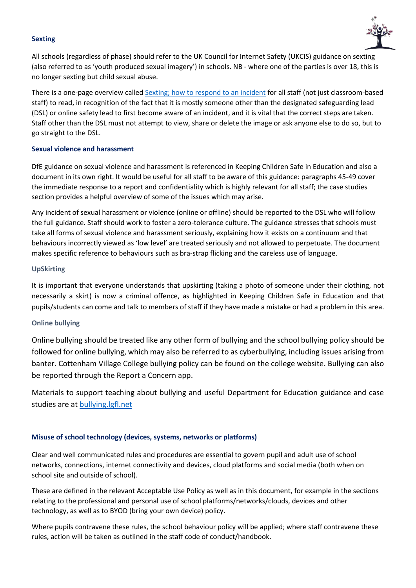#### <span id="page-15-0"></span>**Sexting**



All schools (regardless of phase) should refer to the UK Council for Internet Safety (UKCIS) guidance on sexting (also referred to as 'youth produced sexual imagery') in schools. NB - where one of the parties is over 18, this is no longer sexting but child sexual abuse.

There is a one-page overview calle[d Sexting; how to respond to an incident](https://assets.publishing.service.gov.uk/government/uploads/system/uploads/attachment_data/file/647389/Overview_of_Sexting_Guidance.pdf) for all staff (not just classroom-based staff) to read, in recognition of the fact that it is mostly someone other than the designated safeguarding lead (DSL) or online safety lead to first become aware of an incident, and it is vital that the correct steps are taken. Staff other than the DSL must not attempt to view, share or delete the image or ask anyone else to do so, but to go straight to the DSL.

#### <span id="page-15-1"></span>**Sexual violence and harassment**

DfE guidance on sexual violence and harassment is referenced in Keeping Children Safe in Education and also a document in its own right. It would be useful for all staff to be aware of this guidance: paragraphs 45-49 cover the immediate response to a report and confidentiality which is highly relevant for all staff; the case studies section provides a helpful overview of some of the issues which may arise.

Any incident of sexual harassment or violence (online or offline) should be reported to the DSL who will follow the full guidance. Staff should work to foster a zero-tolerance culture. The guidance stresses that schools must take all forms of sexual violence and harassment seriously, explaining how it exists on a continuum and that behaviours incorrectly viewed as 'low level' are treated seriously and not allowed to perpetuate. The document makes specific reference to behaviours such as bra-strap flicking and the careless use of language.

#### **UpSkirting**

It is important that everyone understands that upskirting (taking a photo of someone under their clothing, not necessarily a skirt) is now a criminal offence, as highlighted in Keeping Children Safe in Education and that pupils/students can come and talk to members of staff if they have made a mistake or had a problem in this area.

#### **Online bullying**

Online bullying should be treated like any other form of bullying and the school bullying policy should be followed for online bullying, which may also be referred to as cyberbullying, including issues arising from banter. Cottenham Village College bullying policy can be found on the college website. Bullying can also be reported through the Report a Concern app.

Materials to support teaching about bullying and useful Department for Education guidance and case studies are at **bullying.lgfl.net** 

#### <span id="page-15-2"></span>**Misuse of school technology (devices, systems, networks or platforms)**

Clear and well communicated rules and procedures are essential to govern pupil and adult use of school networks, connections, internet connectivity and devices, cloud platforms and social media (both when on school site and outside of school).

These are defined in the relevant Acceptable Use Policy as well as in this document, for example in the sections relating to the professional and personal use of school platforms/networks/clouds, devices and other technology, as well as to BYOD (bring your own device) policy.

Where pupils contravene these rules, the school behaviour policy will be applied; where staff contravene these rules, action will be taken as outlined in the staff code of conduct/handbook.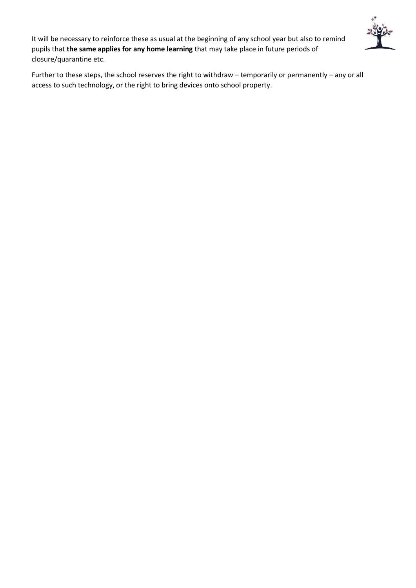

It will be necessary to reinforce these as usual at the beginning of any school year but also to remind pupils that **the same applies for any home learning** that may take place in future periods of closure/quarantine etc.

Further to these steps, the school reserves the right to withdraw – temporarily or permanently – any or all access to such technology, or the right to bring devices onto school property.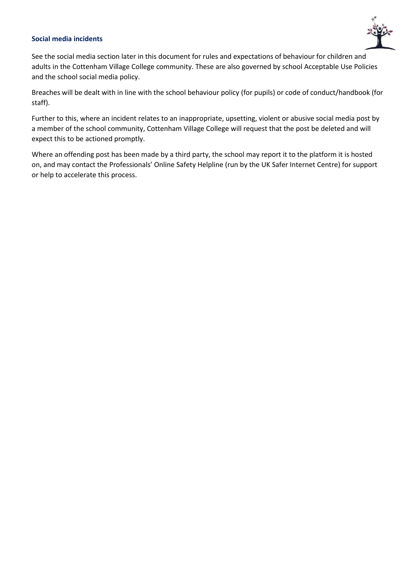## <span id="page-17-0"></span>**Social media incidents**



See the social media section later in this document for rules and expectations of behaviour for children and adults in the Cottenham Village College community. These are also governed by school Acceptable Use Policies and the school social media policy.

Breaches will be dealt with in line with the school behaviour policy (for pupils) or code of conduct/handbook (for staff).

Further to this, where an incident relates to an inappropriate, upsetting, violent or abusive social media post by a member of the school community, Cottenham Village College will request that the post be deleted and will expect this to be actioned promptly.

Where an offending post has been made by a third party, the school may report it to the platform it is hosted on, and may contact the Professionals' Online Safety Helpline (run by the UK Safer Internet Centre) for support or help to accelerate this process.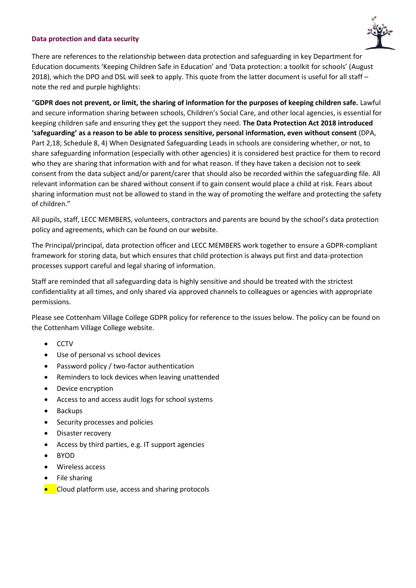#### <span id="page-18-0"></span>**Data protection and data security**



There are references to the relationship between data protection and safeguarding in key Department for Education documents 'Keeping Children Safe in Education' and 'Data protection: a toolkit for schools' (August 2018), which the DPO and DSL will seek to apply. This quote from the latter document is useful for all staff – note the red and purple highlights:

"**GDPR does not prevent, or limit, the sharing of information for the purposes of keeping children safe.** Lawful and secure information sharing between schools, Children's Social Care, and other local agencies, is essential for keeping children safe and ensuring they get the support they need. **The Data Protection Act 2018 introduced 'safeguarding' as a reason to be able to process sensitive, personal information, even without consent** (DPA, Part 2,18; Schedule 8, 4) When Designated Safeguarding Leads in schools are considering whether, or not, to share safeguarding information (especially with other agencies) it is considered best practice for them to record who they are sharing that information with and for what reason. If they have taken a decision not to seek consent from the data subject and/or parent/carer that should also be recorded within the safeguarding file. All relevant information can be shared without consent if to gain consent would place a child at risk. Fears about sharing information must not be allowed to stand in the way of promoting the welfare and protecting the safety of children."

All pupils, staff, LECC MEMBERS, volunteers, contractors and parents are bound by the school's data protection policy and agreements, which can be found on our website.

The Principal/principal, data protection officer and LECC MEMBERS work together to ensure a GDPR-compliant framework for storing data, but which ensures that child protection is always put first and data-protection processes support careful and legal sharing of information.

Staff are reminded that all safeguarding data is highly sensitive and should be treated with the strictest confidentiality at all times, and only shared via approved channels to colleagues or agencies with appropriate permissions.

Please see Cottenham Village College GDPR policy for reference to the issues below. The policy can be found on the Cottenham Village College website.

- CCTV
- Use of personal vs school devices
- Password policy / two-factor authentication
- Reminders to lock devices when leaving unattended
- Device encryption
- Access to and access audit logs for school systems
- **Backups**
- Security processes and policies
- Disaster recovery
- Access by third parties, e.g. IT support agencies
- BYOD
- Wireless access
- File sharing
- Cloud platform use, access and sharing protocols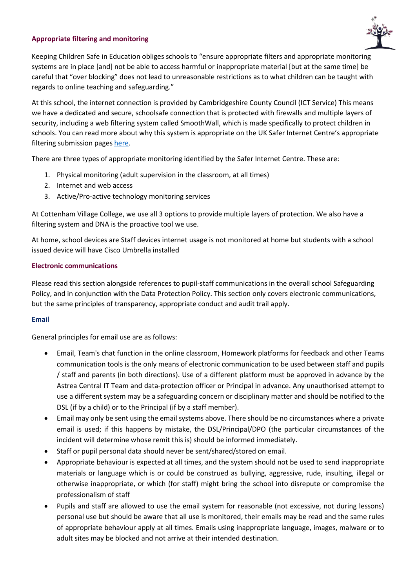# <span id="page-19-0"></span>**Appropriate filtering and monitoring**



Keeping Children Safe in Education obliges schools to "ensure appropriate filters and appropriate monitoring systems are in place [and] not be able to access harmful or inappropriate material [but at the same time] be careful that "over blocking" does not lead to unreasonable restrictions as to what children can be taught with regards to online teaching and safeguarding."

At this school, the internet connection is provided by Cambridgeshire County Council (ICT Service) This means we have a dedicated and secure, schoolsafe connection that is protected with firewalls and multiple layers of security, including a web filtering system called SmoothWall, which is made specifically to protect children in schools. You can read more about why this system is appropriate on the UK Safer Internet Centre's appropriate filtering submission page[s here.](https://www.saferinternet.org.uk/advice-centre/teachers-and-school-staff/appropriate-filtering-and-monitoring/provider-responses)

There are three types of appropriate monitoring identified by the Safer Internet Centre. These are:

- 1. Physical monitoring (adult supervision in the classroom, at all times)
- 2. Internet and web access
- 3. Active/Pro-active technology monitoring services

At Cottenham Village College, we use all 3 options to provide multiple layers of protection. We also have a filtering system and DNA is the proactive tool we use.

At home, school devices are Staff devices internet usage is not monitored at home but students with a school issued device will have Cisco Umbrella installed

#### <span id="page-19-1"></span>**Electronic communications**

Please read this section alongside references to pupil-staff communications in the overall school Safeguarding Policy, and in conjunction with the Data Protection Policy. This section only covers electronic communications, but the same principles of transparency, appropriate conduct and audit trail apply.

#### <span id="page-19-2"></span>**Email**

General principles for email use are as follows:

- Email, Team's chat function in the online classroom, Homework platforms for feedback and other Teams communication tools is the only means of electronic communication to be used between staff and pupils / staff and parents (in both directions). Use of a different platform must be approved in advance by the Astrea Central IT Team and data-protection officer or Principal in advance. Any unauthorised attempt to use a different system may be a safeguarding concern or disciplinary matter and should be notified to the DSL (if by a child) or to the Principal (if by a staff member).
- Email may only be sent using the email systems above. There should be no circumstances where a private email is used; if this happens by mistake, the DSL/Principal/DPO (the particular circumstances of the incident will determine whose remit this is) should be informed immediately.
- Staff or pupil personal data should never be sent/shared/stored on email.
- Appropriate behaviour is expected at all times, and the system should not be used to send inappropriate materials or language which is or could be construed as bullying, aggressive, rude, insulting, illegal or otherwise inappropriate, or which (for staff) might bring the school into disrepute or compromise the professionalism of staff
- Pupils and staff are allowed to use the email system for reasonable (not excessive, not during lessons) personal use but should be aware that all use is monitored, their emails may be read and the same rules of appropriate behaviour apply at all times. Emails using inappropriate language, images, malware or to adult sites may be blocked and not arrive at their intended destination.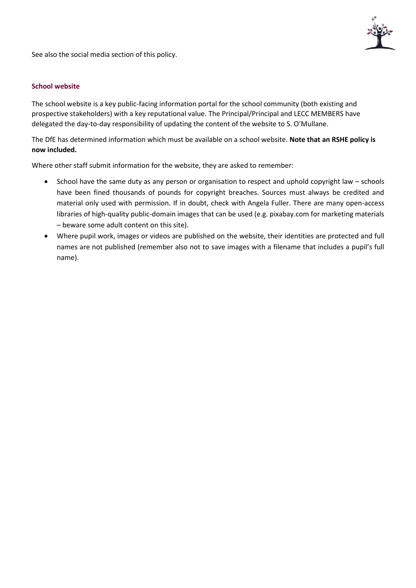

See also the social media section of this policy.

# <span id="page-20-0"></span>**School website**

The school website is a key public-facing information portal for the school community (both existing and prospective stakeholders) with a key reputational value. The Principal/Principal and LECC MEMBERS have delegated the day-to-day responsibility of updating the content of the website to S. O'Mullane.

The DfE has determined information which must be available on a school website. **Note that an RSHE policy is now included.**

Where other staff submit information for the website, they are asked to remember:

- School have the same duty as any person or organisation to respect and uphold copyright law schools have been fined thousands of pounds for copyright breaches. Sources must always be credited and material only used with permission. If in doubt, check with Angela Fuller. There are many open-access libraries of high-quality public-domain images that can be used (e.g. pixabay.com for marketing materials – beware some adult content on this site).
- Where pupil work, images or videos are published on the website, their identities are protected and full names are not published (remember also not to save images with a filename that includes a pupil's full name).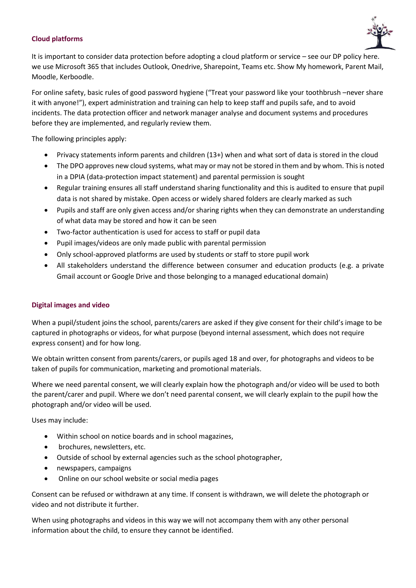# <span id="page-21-0"></span>**Cloud platforms**



It is important to consider data protection before adopting a cloud platform or service – see our DP policy here. we use Microsoft 365 that includes Outlook, Onedrive, Sharepoint, Teams etc. Show My homework, Parent Mail, Moodle, Kerboodle.

For online safety, basic rules of good password hygiene ("Treat your password like your toothbrush –never share it with anyone!"), expert administration and training can help to keep staff and pupils safe, and to avoid incidents. The data protection officer and network manager analyse and document systems and procedures before they are implemented, and regularly review them.

The following principles apply:

- Privacy statements inform parents and children (13+) when and what sort of data is stored in the cloud
- The DPO approves new cloud systems, what may or may not be stored in them and by whom. This is noted in a DPIA (data-protection impact statement) and parental permission is sought
- Regular training ensures all staff understand sharing functionality and this is audited to ensure that pupil data is not shared by mistake. Open access or widely shared folders are clearly marked as such
- Pupils and staff are only given access and/or sharing rights when they can demonstrate an understanding of what data may be stored and how it can be seen
- Two-factor authentication is used for access to staff or pupil data
- Pupil images/videos are only made public with parental permission
- Only school-approved platforms are used by students or staff to store pupil work
- All stakeholders understand the difference between consumer and education products (e.g. a private Gmail account or Google Drive and those belonging to a managed educational domain)

#### <span id="page-21-1"></span>**Digital images and video**

When a pupil/student joins the school, parents/carers are asked if they give consent for their child's image to be captured in photographs or videos, for what purpose (beyond internal assessment, which does not require express consent) and for how long.

We obtain written consent from parents/carers, or pupils aged 18 and over, for photographs and videos to be taken of pupils for communication, marketing and promotional materials.

Where we need parental consent, we will clearly explain how the photograph and/or video will be used to both the parent/carer and pupil. Where we don't need parental consent, we will clearly explain to the pupil how the photograph and/or video will be used.

Uses may include:

- Within school on notice boards and in school magazines,
- brochures, newsletters, etc.
- Outside of school by external agencies such as the school photographer,
- newspapers, campaigns
- Online on our school website or social media pages

Consent can be refused or withdrawn at any time. If consent is withdrawn, we will delete the photograph or video and not distribute it further.

When using photographs and videos in this way we will not accompany them with any other personal information about the child, to ensure they cannot be identified.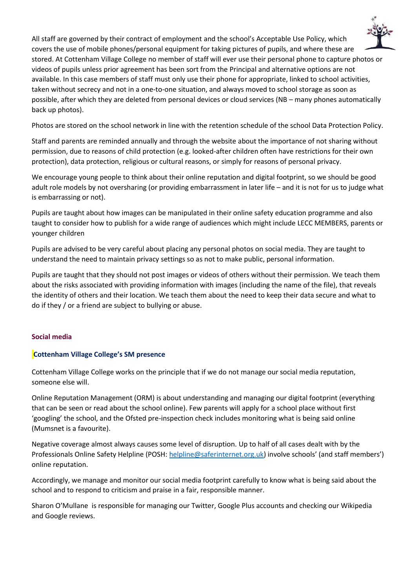All staff are governed by their contract of employment and the school's Acceptable Use Policy, which covers the use of mobile phones/personal equipment for taking pictures of pupils, and where these are stored. At Cottenham Village College no member of staff will ever use their personal phone to capture photos or videos of pupils unless prior agreement has been sort from the Principal and alternative options are not available. In this case members of staff must only use their phone for appropriate, linked to school activities, taken without secrecy and not in a one-to-one situation, and always moved to school storage as soon as possible, after which they are deleted from personal devices or cloud services (NB – many phones automatically back up photos).

Photos are stored on the school network in line with the retention schedule of the school Data Protection Policy.

Staff and parents are reminded annually and through the website about the importance of not sharing without permission, due to reasons of child protection (e.g. looked-after children often have restrictions for their own protection), data protection, religious or cultural reasons, or simply for reasons of personal privacy.

We encourage young people to think about their online reputation and digital footprint, so we should be good adult role models by not oversharing (or providing embarrassment in later life – and it is not for us to judge what is embarrassing or not).

Pupils are taught about how images can be manipulated in their online safety education programme and also taught to consider how to publish for a wide range of audiences which might include LECC MEMBERS, parents or younger children

Pupils are advised to be very careful about placing any personal photos on social media. They are taught to understand the need to maintain privacy settings so as not to make public, personal information.

Pupils are taught that they should not post images or videos of others without their permission. We teach them about the risks associated with providing information with images (including the name of the file), that reveals the identity of others and their location. We teach them about the need to keep their data secure and what to do if they / or a friend are subject to bullying or abuse.

# <span id="page-22-0"></span>**Social media**

# <span id="page-22-1"></span>**Cottenham Village College's SM presence**

Cottenham Village College works on the principle that if we do not manage our social media reputation, someone else will.

Online Reputation Management (ORM) is about understanding and managing our digital footprint (everything that can be seen or read about the school online). Few parents will apply for a school place without first 'googling' the school, and the Ofsted pre-inspection check includes monitoring what is being said online (Mumsnet is a favourite).

Negative coverage almost always causes some level of disruption. Up to half of all cases dealt with by the Professionals Online Safety Helpline (POSH: [helpline@saferinternet.org.uk](mailto:helpline@saferinternet.org.uk)) involve schools' (and staff members') online reputation.

Accordingly, we manage and monitor our social media footprint carefully to know what is being said about the school and to respond to criticism and praise in a fair, responsible manner.

Sharon O'Mullane is responsible for managing our Twitter, Google Plus accounts and checking our Wikipedia and Google reviews.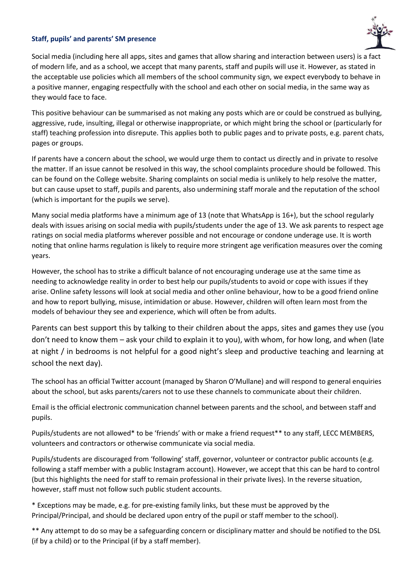# <span id="page-23-0"></span>**Staff, pupils' and parents' SM presence**



Social media (including here all apps, sites and games that allow sharing and interaction between users) is a fact of modern life, and as a school, we accept that many parents, staff and pupils will use it. However, as stated in the acceptable use policies which all members of the school community sign, we expect everybody to behave in a positive manner, engaging respectfully with the school and each other on social media, in the same way as they would face to face.

This positive behaviour can be summarised as not making any posts which are or could be construed as bullying, aggressive, rude, insulting, illegal or otherwise inappropriate, or which might bring the school or (particularly for staff) teaching profession into disrepute. This applies both to public pages and to private posts, e.g. parent chats, pages or groups.

If parents have a concern about the school, we would urge them to contact us directly and in private to resolve the matter. If an issue cannot be resolved in this way, the school complaints procedure should be followed. This can be found on the College website. Sharing complaints on social media is unlikely to help resolve the matter, but can cause upset to staff, pupils and parents, also undermining staff morale and the reputation of the school (which is important for the pupils we serve).

Many social media platforms have a minimum age of 13 (note that WhatsApp is 16+), but the school regularly deals with issues arising on social media with pupils/students under the age of 13. We ask parents to respect age ratings on social media platforms wherever possible and not encourage or condone underage use. It is worth noting that online harms regulation is likely to require more stringent age verification measures over the coming years.

However, the school has to strike a difficult balance of not encouraging underage use at the same time as needing to acknowledge reality in order to best help our pupils/students to avoid or cope with issues if they arise. Online safety lessons will look at social media and other online behaviour, how to be a good friend online and how to report bullying, misuse, intimidation or abuse. However, children will often learn most from the models of behaviour they see and experience, which will often be from adults.

Parents can best support this by talking to their children about the apps, sites and games they use (you don't need to know them – ask your child to explain it to you), with whom, for how long, and when (late at night / in bedrooms is not helpful for a good night's sleep and productive teaching and learning at school the next day).

The school has an official Twitter account (managed by Sharon O'Mullane) and will respond to general enquiries about the school, but asks parents/carers not to use these channels to communicate about their children.

Email is the official electronic communication channel between parents and the school, and between staff and pupils.

Pupils/students are not allowed\* to be 'friends' with or make a friend request\*\* to any staff, LECC MEMBERS, volunteers and contractors or otherwise communicate via social media.

Pupils/students are discouraged from 'following' staff, governor, volunteer or contractor public accounts (e.g. following a staff member with a public Instagram account). However, we accept that this can be hard to control (but this highlights the need for staff to remain professional in their private lives). In the reverse situation, however, staff must not follow such public student accounts.

\* Exceptions may be made, e.g. for pre-existing family links, but these must be approved by the Principal/Principal, and should be declared upon entry of the pupil or staff member to the school).

\*\* Any attempt to do so may be a safeguarding concern or disciplinary matter and should be notified to the DSL (if by a child) or to the Principal (if by a staff member).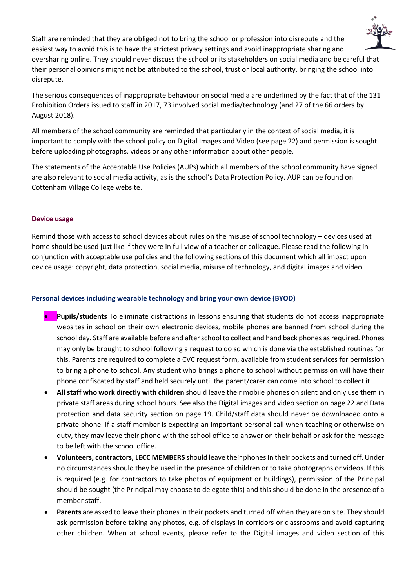Staff are reminded that they are obliged not to bring the school or profession into disrepute and the easiest way to avoid this is to have the strictest privacy settings and avoid inappropriate sharing and oversharing online. They should never discuss the school or its stakeholders on social media and be careful that their personal opinions might not be attributed to the school, trust or local authority, bringing the school into disrepute.

The serious consequences of inappropriate behaviour on social media are underlined by the fact that of the 131 Prohibition Orders issued to staff in 2017, 73 involved social media/technology (and 27 of the 66 orders by August 2018).

All members of the school community are reminded that particularly in the context of social media, it is important to comply with the school policy on Digital Images and Video (see page [22\)](#page-21-1) and permission is sought before uploading photographs, videos or any other information about other people.

The statements of the Acceptable Use Policies (AUPs) which all members of the school community have signed are also relevant to social media activity, as is the school's Data Protection Policy. AUP can be found on Cottenham Village College website.

# <span id="page-24-0"></span>**Device usage**

Remind those with access to school devices about rules on the misuse of school technology – devices used at home should be used just like if they were in full view of a teacher or colleague. Please read the following in conjunction with acceptable use policies and the following sections of this document which all impact upon device usage: copyright, data protection, social media, misuse of technology, and digital images and video.

# <span id="page-24-1"></span>**Personal devices including wearable technology and bring your own device (BYOD)**

- **Pupils/students** To eliminate distractions in lessons ensuring that students do not access inappropriate websites in school on their own electronic devices, mobile phones are banned from school during the school day. Staff are available before and after school to collect and hand back phones as required. Phones may only be brought to school following a request to do so which is done via the established routines for this. Parents are required to complete a CVC request form, available from student services for permission to bring a phone to school. Any student who brings a phone to school without permission will have their phone confiscated by staff and held securely until the parent/carer can come into school to collect it.
- **All staff who work directly with children** should leave their mobile phones on silent and only use them in private staff areas during school hours. See also the [Digital images and video](#page-21-1) section on pag[e 22](#page-21-1) and [Data](#page-18-0)  [protection and data security](#page-18-0) section on page [19.](#page-18-0) Child/staff data should never be downloaded onto a private phone. If a staff member is expecting an important personal call when teaching or otherwise on duty, they may leave their phone with the school office to answer on their behalf or ask for the message to be left with the school office.
- **Volunteers, contractors, LECC MEMBERS** should leave their phones in their pockets and turned off. Under no circumstances should they be used in the presence of children or to take photographs or videos. If this is required (e.g. for contractors to take photos of equipment or buildings), permission of the Principal should be sought (the Principal may choose to delegate this) and this should be done in the presence of a member staff.
- **Parents** are asked to leave their phones in their pockets and turned off when they are on site. They should ask permission before taking any photos, e.g. of displays in corridors or classrooms and avoid capturing other children. When at school events, please refer to the [Digital images and video](#page-21-1) section of this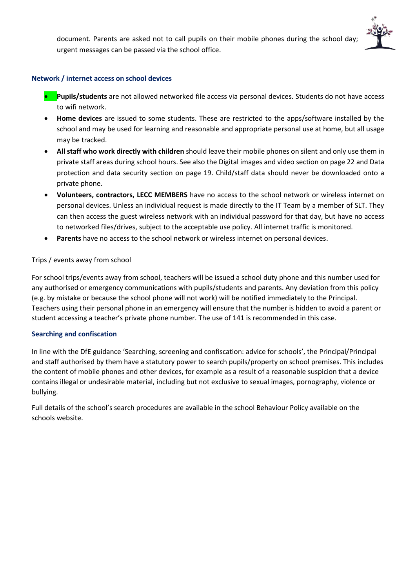document. Parents are asked not to call pupils on their mobile phones during the school day; urgent messages can be passed via the school office.

# <span id="page-25-0"></span>**Network / internet access on school devices**

- **• Pupils/students** are not allowed networked file access via personal devices. Students do not have access to wifi network.
- **Home devices** are issued to some students. These are restricted to the apps/software installed by the school and may be used for learning and reasonable and appropriate personal use at home, but all usage may be tracked.
- **All staff who work directly with children** should leave their mobile phones on silent and only use them in private staff areas during school hours. See also the [Digital images and video](#page-21-1) section on pag[e 22](#page-21-1) and [Data](#page-18-0)  [protection and data security](#page-18-0) section on page [19.](#page-18-0) Child/staff data should never be downloaded onto a private phone.
- **Volunteers, contractors, LECC MEMBERS** have no access to the school network or wireless internet on personal devices. Unless an individual request is made directly to the IT Team by a member of SLT. They can then access the guest wireless network with an individual password for that day, but have no access to networked files/drives, subject to the acceptable use policy. All internet traffic is monitored.
- **Parents** have no access to the school network or wireless internet on personal devices.

#### Trips / events away from school

For school trips/events away from school, teachers will be issued a school duty phone and this number used for any authorised or emergency communications with pupils/students and parents. Any deviation from this policy (e.g. by mistake or because the school phone will not work) will be notified immediately to the Principal. Teachers using their personal phone in an emergency will ensure that the number is hidden to avoid a parent or student accessing a teacher's private phone number. The use of 141 is recommended in this case.

#### <span id="page-25-1"></span>**Searching and confiscation**

In line with the DfE guidance 'Searching, screening and confiscation: advice for schools', the Principal/Principal and staff authorised by them have a statutory power to search pupils/property on school premises. This includes the content of mobile phones and other devices, for example as a result of a reasonable suspicion that a device contains illegal or undesirable material, including but not exclusive to sexual images, pornography, violence or bullying.

Full details of the school's search procedures are available in the school Behaviour Policy available on the schools website.